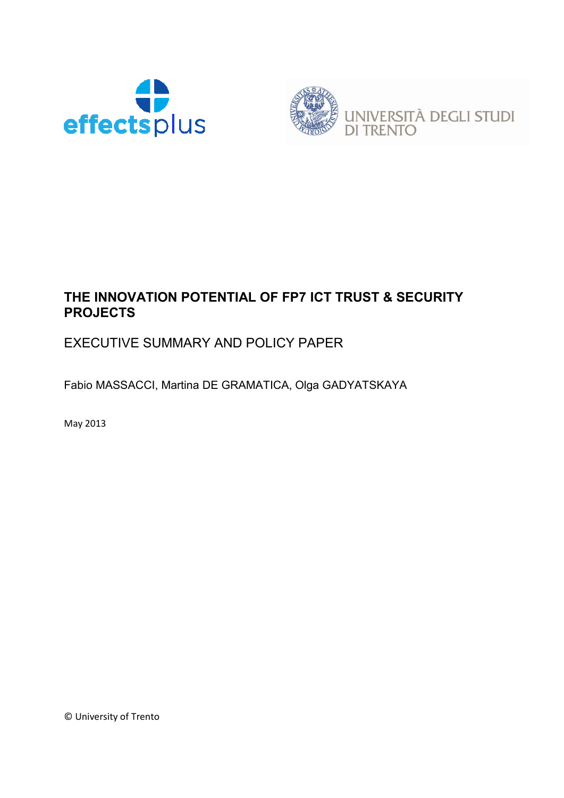



# **THE INNOVATION POTENTIAL OF FP7 ICT TRUST & SECURITY PROJECTS**

# EXECUTIVE SUMMARY AND POLICY PAPER

Fabio MASSACCI, Martina DE GRAMATICA, Olga GADYATSKAYA

May 2013

© University of Trento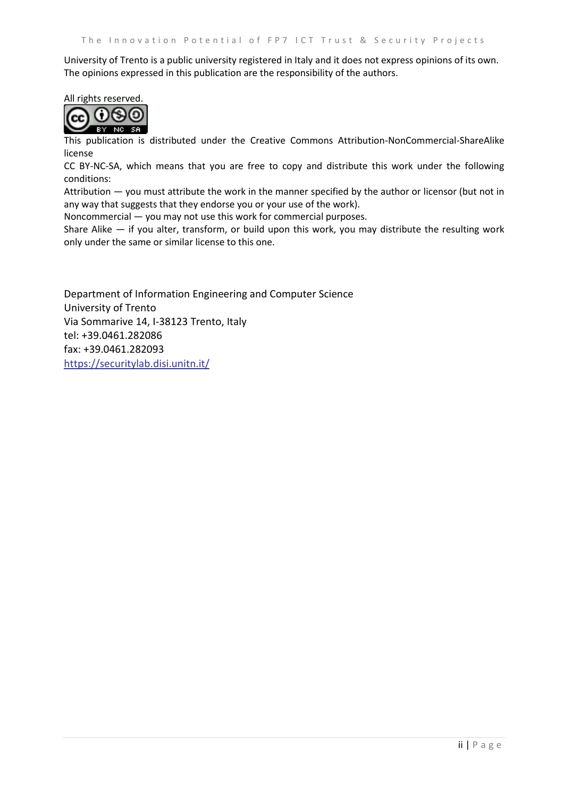University of Trento is a public university registered in Italy and it does not express opinions of its own. The opinions expressed in this publication are the responsibility of the authors.

#### All rights reserved.



This publication is distributed under the Creative Commons Attribution-NonCommercial-ShareAlike license

CC BY-NC-SA, which means that you are free to copy and distribute this work under the following conditions:

Attribution — you must attribute the work in the manner specified by the author or licensor (but not in any way that suggests that they endorse you or your use of the work).

Noncommercial — you may not use this work for commercial purposes.

Share Alike — if you alter, transform, or build upon this work, you may distribute the resulting work only under the same or similar license to this one.

Department of Information Engineering and Computer Science University of Trento Via Sommarive 14, I-38123 Trento, Italy tel: +39.0461.282086 fax: +39.0461.282093 <https://securitylab.disi.unitn.it/>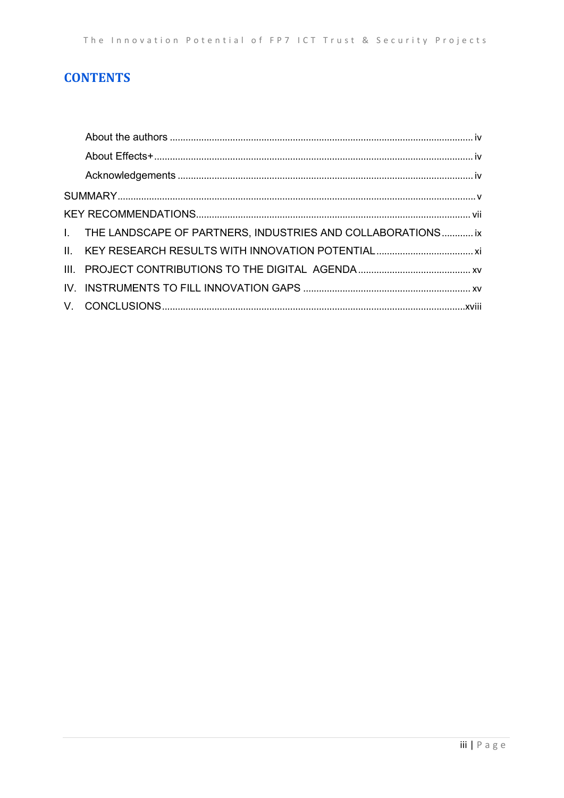# **CONTENTS**

| I. THE LANDSCAPE OF PARTNERS, INDUSTRIES AND COLLABORATIONS ix |  |
|----------------------------------------------------------------|--|
|                                                                |  |
|                                                                |  |
|                                                                |  |
|                                                                |  |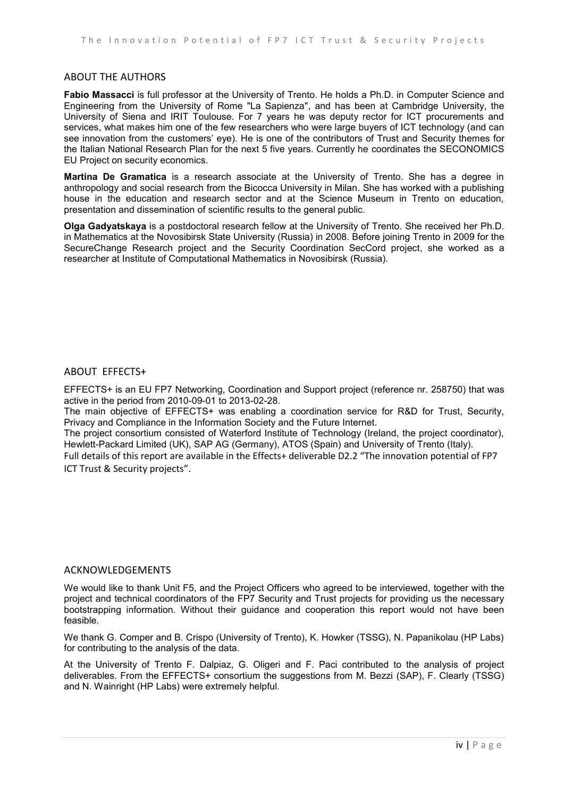#### <span id="page-3-0"></span>ABOUT THE AUTHORS

**Fabio Massacci** is full professor at the University of Trento. He holds a Ph.D. in Computer Science and Engineering from the University of Rome "La Sapienza", and has been at Cambridge University, the University of Siena and IRIT Toulouse. For 7 years he was deputy rector for ICT procurements and services, what makes him one of the few researchers who were large buyers of ICT technology (and can see innovation from the customers' eye). He is one of the contributors of Trust and Security themes for the Italian National Research Plan for the next 5 five years. Currently he coordinates the SECONOMICS EU Project on security economics.

**Martina De Gramatica** is a research associate at the University of Trento. She has a degree in anthropology and social research from the Bicocca University in Milan. She has worked with a publishing house in the education and research sector and at the Science Museum in Trento on education, presentation and dissemination of scientific results to the general public.

**Olga Gadyatskaya** is a postdoctoral research fellow at the University of Trento. She received her Ph.D. in Mathematics at the Novosibirsk State University (Russia) in 2008. Before joining Trento in 2009 for the SecureChange Research project and the Security Coordination SecCord project, she worked as a researcher at Institute of Computational Mathematics in Novosibirsk (Russia).

#### <span id="page-3-1"></span>ABOUT EFFECTS+

EFFECTS+ is an EU FP7 Networking, Coordination and Support project (reference nr. 258750) that was active in the period from 2010-09-01 to 2013-02-28.

The main objective of EFFECTS+ was enabling a coordination service for R&D for Trust, Security, Privacy and Compliance in the Information Society and the Future Internet.

The project consortium consisted of Waterford Institute of Technology (Ireland, the project coordinator), Hewlett-Packard Limited (UK), SAP AG (Germany), ATOS (Spain) and University of Trento (Italy).

Full details of this report are available in the Effects+ deliverable D2.2 "The innovation potential of FP7 ICT Trust & Security projects".

#### <span id="page-3-2"></span>ACKNOWLEDGEMENTS

We would like to thank Unit F5, and the Project Officers who agreed to be interviewed, together with the project and technical coordinators of the FP7 Security and Trust projects for providing us the necessary bootstrapping information. Without their guidance and cooperation this report would not have been feasible.

We thank G. Comper and B. Crispo (University of Trento), K. Howker (TSSG), N. Papanikolau (HP Labs) for contributing to the analysis of the data.

At the University of Trento F. Dalpiaz, G. Oligeri and F. Paci contributed to the analysis of project deliverables. From the EFFECTS+ consortium the suggestions from M. Bezzi (SAP), F. Clearly (TSSG) and N. Wainright (HP Labs) were extremely helpful.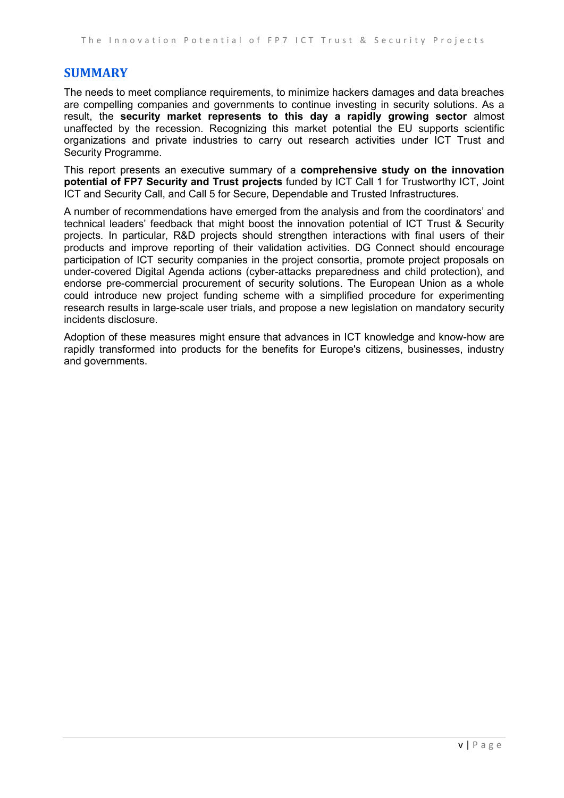### <span id="page-4-0"></span>**SUMMARY**

The needs to meet compliance requirements, to minimize hackers damages and data breaches are compelling companies and governments to continue investing in security solutions. As a result, the **security market represents to this day a rapidly growing sector** almost unaffected by the recession. Recognizing this market potential the EU supports scientific organizations and private industries to carry out research activities under ICT Trust and Security Programme.

This report presents an executive summary of a **comprehensive study on the innovation potential of FP7 Security and Trust projects** funded by ICT Call 1 for Trustworthy ICT, Joint ICT and Security Call, and Call 5 for Secure, Dependable and Trusted Infrastructures.

A number of recommendations have emerged from the analysis and from the coordinators' and technical leaders' feedback that might boost the innovation potential of ICT Trust & Security projects. In particular, R&D projects should strengthen interactions with final users of their products and improve reporting of their validation activities. DG Connect should encourage participation of ICT security companies in the project consortia, promote project proposals on under-covered Digital Agenda actions (cyber-attacks preparedness and child protection), and endorse pre-commercial procurement of security solutions. The European Union as a whole could introduce new project funding scheme with a simplified procedure for experimenting research results in large-scale user trials, and propose a new legislation on mandatory security incidents disclosure.

Adoption of these measures might ensure that advances in ICT knowledge and know-how are rapidly transformed into products for the benefits for Europe's citizens, businesses, industry and governments.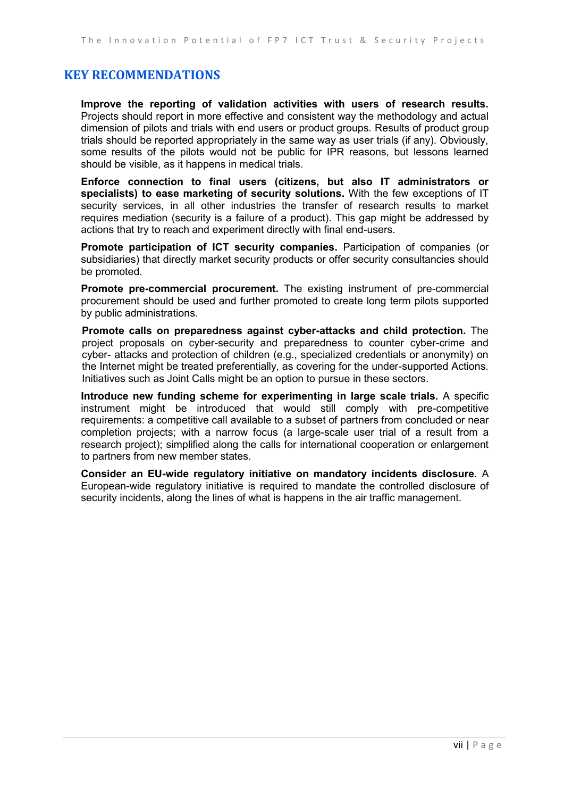### <span id="page-6-0"></span>**KEY RECOMMENDATIONS**

**Improve the reporting of validation activities with users of research results.** Projects should report in more effective and consistent way the methodology and actual dimension of pilots and trials with end users or product groups. Results of product group trials should be reported appropriately in the same way as user trials (if any). Obviously, some results of the pilots would not be public for IPR reasons, but lessons learned should be visible, as it happens in medical trials.

**Enforce connection to final users (citizens, but also IT administrators or specialists) to ease marketing of security solutions.** With the few exceptions of IT security services, in all other industries the transfer of research results to market requires mediation (security is a failure of a product). This gap might be addressed by actions that try to reach and experiment directly with final end-users.

**Promote participation of ICT security companies.** Participation of companies (or subsidiaries) that directly market security products or offer security consultancies should be promoted.

**Promote pre-commercial procurement.** The existing instrument of pre-commercial procurement should be used and further promoted to create long term pilots supported by public administrations.

**Promote calls on preparedness against cyber-attacks and child protection.** The project proposals on cyber-security and preparedness to counter cyber-crime and cyber- attacks and protection of children (e.g., specialized credentials or anonymity) on the Internet might be treated preferentially, as covering for the under-supported Actions. Initiatives such as Joint Calls might be an option to pursue in these sectors.

**Introduce new funding scheme for experimenting in large scale trials.** A specific instrument might be introduced that would still comply with pre-competitive requirements: a competitive call available to a subset of partners from concluded or near completion projects; with a narrow focus (a large-scale user trial of a result from a research project); simplified along the calls for international cooperation or enlargement to partners from new member states.

**Consider an EU-wide regulatory initiative on mandatory incidents disclosure.** A European-wide regulatory initiative is required to mandate the controlled disclosure of security incidents, along the lines of what is happens in the air traffic management.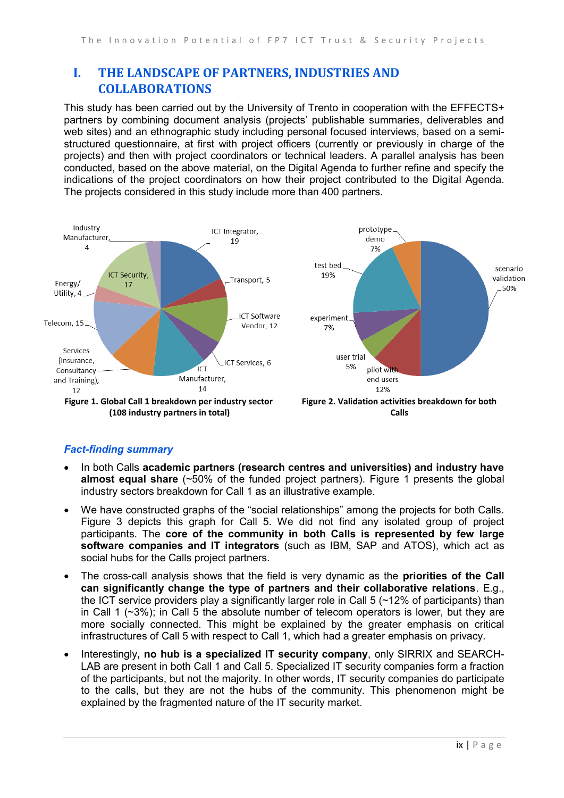## <span id="page-8-0"></span>**I. THE LANDSCAPE OF PARTNERS, INDUSTRIES AND COLLABORATIONS**

This study has been carried out by the University of Trento in cooperation with the EFFECTS+ partners by combining document analysis (projects' publishable summaries, deliverables and web sites) and an ethnographic study including personal focused interviews, based on a semistructured questionnaire, at first with project officers (currently or previously in charge of the projects) and then with project coordinators or technical leaders. A parallel analysis has been conducted, based on the above material, on the Digital Agenda to further refine and specify the indications of the project coordinators on how their project contributed to the Digital Agenda. The projects considered in this study include more than 400 partners.



#### <span id="page-8-2"></span><span id="page-8-1"></span>*Fact-finding summary*

- In both Calls **academic partners (research centres and universities) and industry have almost equal share** (~50% of the funded project partners). [Figure 1](#page-8-1) presents the global industry sectors breakdown for Call 1 as an illustrative example.
- We have constructed graphs of the "social relationships" among the projects for both Calls. [Figure 3](#page-9-0) depicts this graph for Call 5. We did not find any isolated group of project participants. The **core of the community in both Calls is represented by few large software companies and IT integrators** (such as IBM, SAP and ATOS), which act as social hubs for the Calls project partners.
- The cross-call analysis shows that the field is very dynamic as the **priorities of the Call can significantly change the type of partners and their collaborative relations**. E.g., the ICT service providers play a significantly larger role in Call 5 ( $\sim$ 12% of participants) than in Call 1  $(\sim 3\%)$ ; in Call 5 the absolute number of telecom operators is lower, but they are more socially connected. This might be explained by the greater emphasis on critical infrastructures of Call 5 with respect to Call 1, which had a greater emphasis on privacy.
- Interestingly**, no hub is a specialized IT security company**, only SIRRIX and SEARCH-LAB are present in both Call 1 and Call 5. Specialized IT security companies form a fraction of the participants, but not the majority. In other words, IT security companies do participate to the calls, but they are not the hubs of the community. This phenomenon might be explained by the fragmented nature of the IT security market.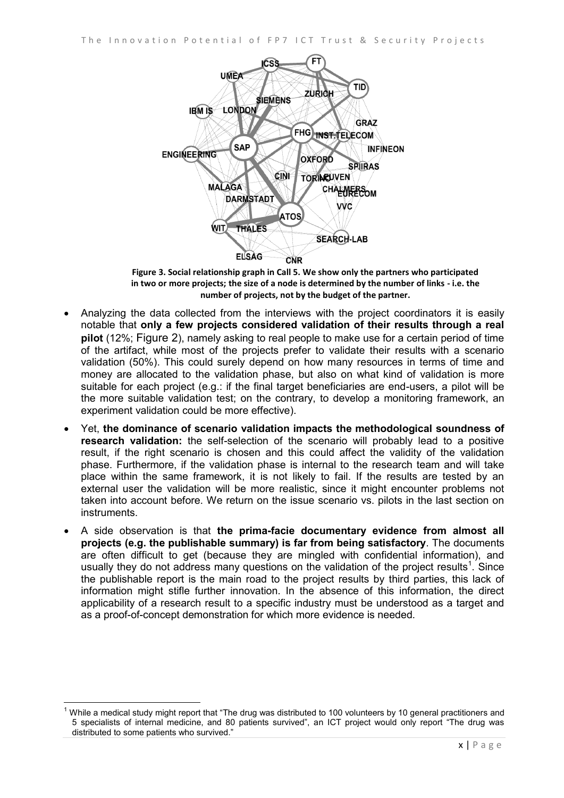

**Figure 3. Social relationship graph in Call 5. We show only the partners who participated in two or more projects; the size of a node is determined by the number of links - i.e. the number of projects, not by the budget of the partner.**

- <span id="page-9-0"></span> Analyzing the data collected from the interviews with the project coordinators it is easily notable that **only a few projects considered validation of their results through a real pilot** (12%; [Figure 2](#page-8-2)), namely asking to real people to make use for a certain period of time of the artifact, while most of the projects prefer to validate their results with a scenario validation (50%). This could surely depend on how many resources in terms of time and money are allocated to the validation phase, but also on what kind of validation is more suitable for each project (e.g.: if the final target beneficiaries are end-users, a pilot will be the more suitable validation test; on the contrary, to develop a monitoring framework, an experiment validation could be more effective).
- Yet, **the dominance of scenario validation impacts the methodological soundness of research validation:** the self-selection of the scenario will probably lead to a positive result, if the right scenario is chosen and this could affect the validity of the validation phase. Furthermore, if the validation phase is internal to the research team and will take place within the same framework, it is not likely to fail. If the results are tested by an external user the validation will be more realistic, since it might encounter problems not taken into account before. We return on the issue scenario vs. pilots in the last section on instruments.
- A side observation is that **the prima-facie documentary evidence from almost all projects (e.g. the publishable summary) is far from being satisfactory**. The documents are often difficult to get (because they are mingled with confidential information), and usually they do not address many questions on the validation of the project results<sup>1</sup>. Since the publishable report is the main road to the project results by third parties, this lack of information might stifle further innovation. In the absence of this information, the direct applicability of a research result to a specific industry must be understood as a target and as a proof-of-concept demonstration for which more evidence is needed.

 $\overline{\phantom{a}}$ 

 $1$  While a medical study might report that "The drug was distributed to 100 volunteers by 10 general practitioners and 5 specialists of internal medicine, and 80 patients survived", an ICT project would only report "The drug was distributed to some patients who survived."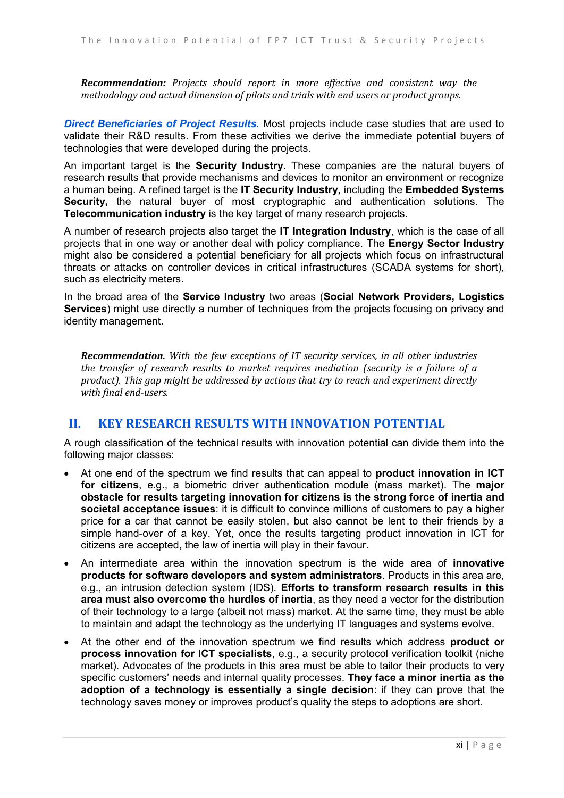*Recommendation: Projects should report in more effective and consistent way the methodology and actual dimension of pilots and trials with end users or product groups.*

*Direct Beneficiaries of Project Results.* Most projects include case studies that are used to validate their R&D results. From these activities we derive the immediate potential buyers of technologies that were developed during the projects.

An important target is the **Security Industry**. These companies are the natural buyers of research results that provide mechanisms and devices to monitor an environment or recognize a human being. A refined target is the **IT Security Industry,** including the **Embedded Systems Security,** the natural buyer of most cryptographic and authentication solutions. The **Telecommunication industry** is the key target of many research projects.

A number of research projects also target the **IT Integration Industry**, which is the case of all projects that in one way or another deal with policy compliance. The **Energy Sector Industry** might also be considered a potential beneficiary for all projects which focus on infrastructural threats or attacks on controller devices in critical infrastructures (SCADA systems for short), such as electricity meters.

In the broad area of the **Service Industry** two areas (**Social Network Providers, Logistics Services**) might use directly a number of techniques from the projects focusing on privacy and identity management.

*Recommendation. With the few exceptions of IT security services, in all other industries the transfer of research results to market requires mediation (security is a failure of a product). This gap might be addressed by actions that try to reach and experiment directly with final end-users.*

#### <span id="page-10-0"></span>**II. KEY RESEARCH RESULTS WITH INNOVATION POTENTIAL**

A rough classification of the technical results with innovation potential can divide them into the following major classes:

- At one end of the spectrum we find results that can appeal to **product innovation in ICT for citizens**, e.g., a biometric driver authentication module (mass market). The **major obstacle for results targeting innovation for citizens is the strong force of inertia and societal acceptance issues**: it is difficult to convince millions of customers to pay a higher price for a car that cannot be easily stolen, but also cannot be lent to their friends by a simple hand-over of a key. Yet, once the results targeting product innovation in ICT for citizens are accepted, the law of inertia will play in their favour.
- An intermediate area within the innovation spectrum is the wide area of **innovative products for software developers and system administrators**. Products in this area are, e.g., an intrusion detection system (IDS). **Efforts to transform research results in this area must also overcome the hurdles of inertia**, as they need a vector for the distribution of their technology to a large (albeit not mass) market. At the same time, they must be able to maintain and adapt the technology as the underlying IT languages and systems evolve.
- At the other end of the innovation spectrum we find results which address **product or process innovation for ICT specialists**, e.g., a security protocol verification toolkit (niche market). Advocates of the products in this area must be able to tailor their products to very specific customers' needs and internal quality processes. **They face a minor inertia as the adoption of a technology is essentially a single decision**: if they can prove that the technology saves money or improves product's quality the steps to adoptions are short.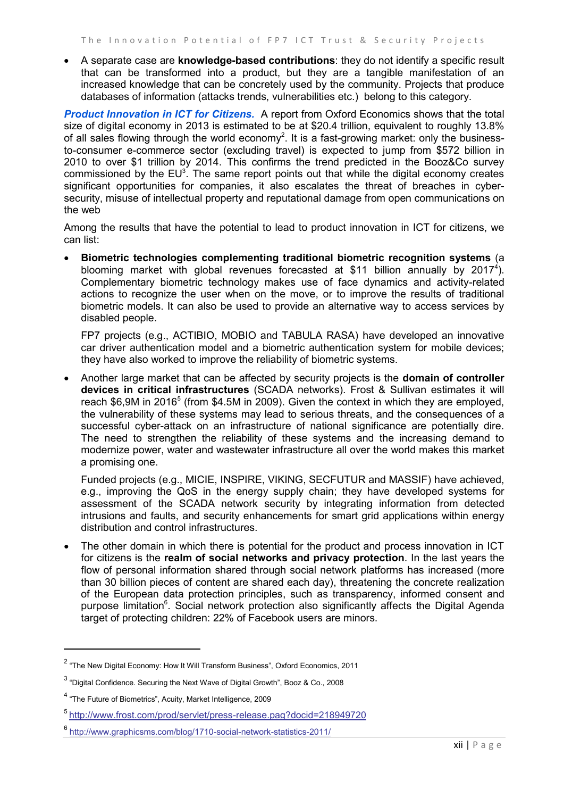A separate case are **knowledge-based contributions**: they do not identify a specific result that can be transformed into a product, but they are a tangible manifestation of an increased knowledge that can be concretely used by the community. Projects that produce databases of information (attacks trends, vulnerabilities etc.) belong to this category.

*Product Innovation in ICT for Citizens.* A report from Oxford Economics shows that the total size of digital economy in 2013 is estimated to be at \$20.4 trillion, equivalent to roughly 13.8% of all sales flowing through the world economy<sup>2</sup>. It is a fast-growing market: only the businessto-consumer e-commerce sector (excluding travel) is expected to jump from \$572 billion in 2010 to over \$1 trillion by 2014. This confirms the trend predicted in the Booz&Co survey commissioned by the  $EU^3$ . The same report points out that while the digital economy creates significant opportunities for companies, it also escalates the threat of breaches in cybersecurity, misuse of intellectual property and reputational damage from open communications on the web

Among the results that have the potential to lead to product innovation in ICT for citizens, we can list:

 **Biometric technologies complementing traditional biometric recognition systems** (a blooming market with global revenues forecasted at \$11 billion annually by 2017<sup>4</sup>). Complementary biometric technology makes use of face dynamics and activity-related actions to recognize the user when on the move, or to improve the results of traditional biometric models. It can also be used to provide an alternative way to access services by disabled people.

FP7 projects (e.g., ACTIBIO, MOBIO and TABULA RASA) have developed an innovative car driver authentication model and a biometric authentication system for mobile devices; they have also worked to improve the reliability of biometric systems.

 Another large market that can be affected by security projects is the **domain of controller devices in critical infrastructures** (SCADA networks). Frost & Sullivan estimates it will reach \$6,9M in 2016<sup>5</sup> (from \$4.5M in 2009). Given the context in which they are employed, the vulnerability of these systems may lead to serious threats, and the consequences of a successful cyber-attack on an infrastructure of national significance are potentially dire. The need to strengthen the reliability of these systems and the increasing demand to modernize power, water and wastewater infrastructure all over the world makes this market a promising one.

Funded projects (e.g., MICIE, INSPIRE, VIKING, SECFUTUR and MASSIF) have achieved, e.g., improving the QoS in the energy supply chain; they have developed systems for assessment of the SCADA network security by integrating information from detected intrusions and faults, and security enhancements for smart grid applications within energy distribution and control infrastructures.

• The other domain in which there is potential for the product and process innovation in ICT for citizens is the **realm of social networks and privacy protection**. In the last years the flow of personal information shared through social network platforms has increased (more than 30 billion pieces of content are shared each day), threatening the concrete realization of the European data protection principles, such as transparency, informed consent and purpose limitation<sup>6</sup>. Social network protection also significantly affects the Digital Agenda target of protecting children: 22% of Facebook users are minors.

l

 $^2$  "The New Digital Economy: How It Will Transform Business", Oxford Economics, 2011

 $^3$  "Digital Confidence. Securing the Next Wave of Digital Growth", Booz & Co., 2008

<sup>&</sup>lt;sup>4</sup> "The Future of Biometrics", Acuity, Market Intelligence, 2009

<sup>5</sup> <http://www.frost.com/prod/servlet/press-release.pag?docid=218949720>

<sup>6</sup> <http://www.graphicsms.com/blog/1710-social-network-statistics-2011/>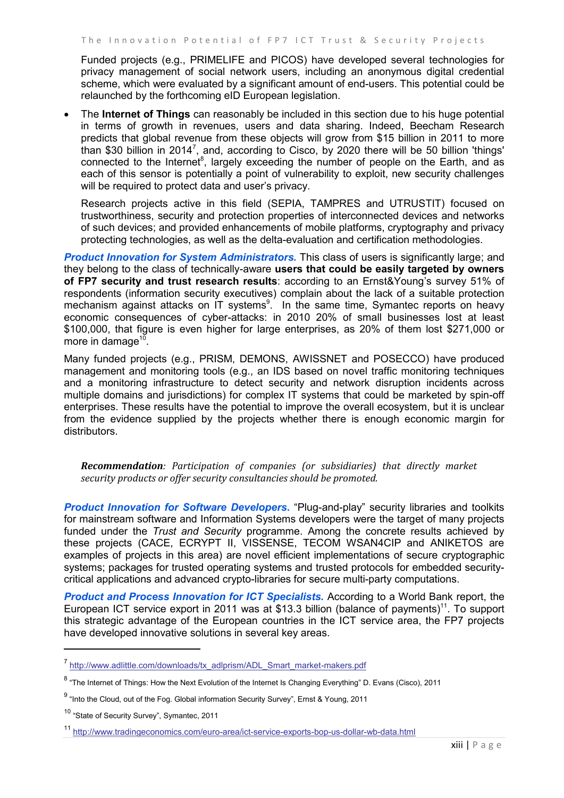Funded projects (e.g., PRIMELIFE and PICOS) have developed several technologies for privacy management of social network users, including an anonymous digital credential scheme, which were evaluated by a significant amount of end-users. This potential could be relaunched by the forthcoming eID European legislation.

 The **Internet of Things** can reasonably be included in this section due to his huge potential in terms of growth in revenues, users and data sharing. Indeed, Beecham Research predicts that global revenue from these objects will grow from \$15 billion in 2011 to more than \$30 billion in 2014<sup>7</sup>, and, according to Cisco, by 2020 there will be 50 billion 'things' connected to the Internet<sup>8</sup>, largely exceeding the number of people on the Earth, and as each of this sensor is potentially a point of vulnerability to exploit, new security challenges will be required to protect data and user's privacy.

Research projects active in this field (SEPIA, TAMPRES and UTRUSTIT) focused on trustworthiness, security and protection properties of interconnected devices and networks of such devices; and provided enhancements of mobile platforms, cryptography and privacy protecting technologies, as well as the delta-evaluation and certification methodologies.

**Product Innovation for System Administrators.** This class of users is significantly large; and they belong to the class of technically-aware **users that could be easily targeted by owners of FP7 security and trust research results**: according to an Ernst&Young's survey 51% of respondents (information security executives) complain about the lack of a suitable protection mechanism against attacks on IT systems<sup>9</sup>. In the same time, Symantec reports on heavy economic consequences of cyber-attacks: in 2010 20% of small businesses lost at least \$100,000, that figure is even higher for large enterprises, as 20% of them lost \$271,000 or more in damage<sup>10</sup>.

Many funded projects (e.g., PRISM, DEMONS, AWISSNET and POSECCO) have produced management and monitoring tools (e.g., an IDS based on novel traffic monitoring techniques and a monitoring infrastructure to detect security and network disruption incidents across multiple domains and jurisdictions) for complex IT systems that could be marketed by spin-off enterprises. These results have the potential to improve the overall ecosystem, but it is unclear from the evidence supplied by the projects whether there is enough economic margin for distributors.

*Recommendation: Participation of companies (or subsidiaries) that directly market security products or offer security consultancies should be promoted.* 

*Product Innovation for Software Developers***.** "Plug-and-play" security libraries and toolkits for mainstream software and Information Systems developers were the target of many projects funded under the *Trust and Security* programme. Among the concrete results achieved by these projects (CACE, ECRYPT II, VISSENSE, TECOM WSAN4CIP and ANIKETOS are examples of projects in this area) are novel efficient implementations of secure cryptographic systems; packages for trusted operating systems and trusted protocols for embedded securitycritical applications and advanced crypto-libraries for secure multi-party computations.

*Product and Process Innovation for ICT Specialists.* According to a World Bank report, the European ICT service export in 2011 was at \$13.3 billion (balance of payments)<sup>11</sup>. To support this strategic advantage of the European countries in the ICT service area, the FP7 projects have developed innovative solutions in several key areas.

l

<sup>&</sup>lt;sup>7</sup> http://www.adlittle.com/downloads/tx\_adlprism/ADL\_Smart\_market-makers.pdf

 $^8$  "The Internet of Things: How the Next Evolution of the Internet Is Changing Everything" D. Evans (Cisco), 2011

<sup>&</sup>lt;sup>9</sup> "Into the Cloud, out of the Fog. Global information Security Survey", Ernst & Young, 2011

<sup>&</sup>lt;sup>10</sup> "State of Security Survey", Symantec, 2011

<sup>11</sup> <http://www.tradingeconomics.com/euro-area/ict-service-exports-bop-us-dollar-wb-data.html>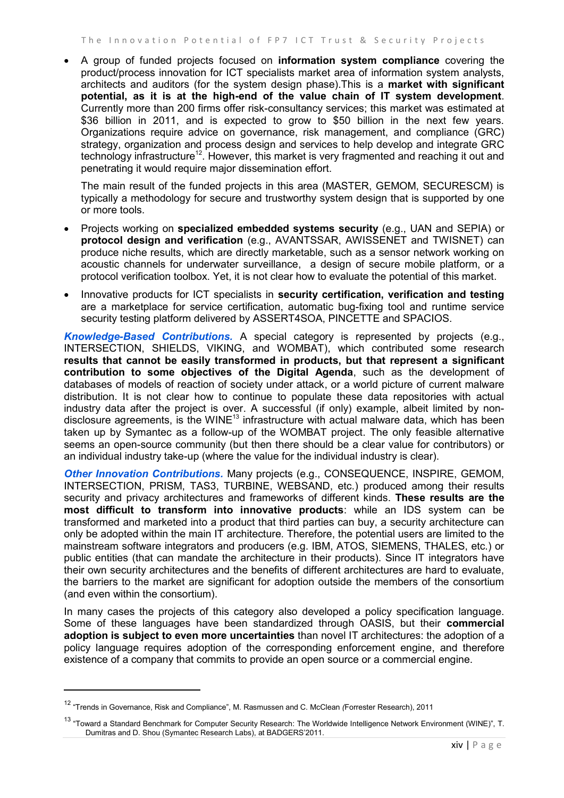A group of funded projects focused on **information system compliance** covering the product/process innovation for ICT specialists market area of information system analysts, architects and auditors (for the system design phase).This is a **market with significant potential, as it is at the high-end of the value chain of IT system development**. Currently more than 200 firms offer risk-consultancy services; this market was estimated at \$36 billion in 2011, and is expected to grow to \$50 billion in the next few years. Organizations require advice on governance, risk management, and compliance (GRC) strategy, organization and process design and services to help develop and integrate GRC technology infrastructure<sup>12</sup>. However, this market is very fragmented and reaching it out and penetrating it would require major dissemination effort.

The main result of the funded projects in this area (MASTER, GEMOM, SECURESCM) is typically a methodology for secure and trustworthy system design that is supported by one or more tools.

- Projects working on **specialized embedded systems security** (e.g., UAN and SEPIA) or **protocol design and verification** (e.g., AVANTSSAR, AWISSENET and TWISNET) can produce niche results, which are directly marketable, such as a sensor network working on acoustic channels for underwater surveillance, a design of secure mobile platform, or a protocol verification toolbox. Yet, it is not clear how to evaluate the potential of this market.
- Innovative products for ICT specialists in **security certification, verification and testing** are a marketplace for service certification, automatic bug-fixing tool and runtime service security testing platform delivered by ASSERT4SOA, PINCETTE and SPACIOS.

*Knowledge-Based Contributions.* A special category is represented by projects (e.g., INTERSECTION, SHIELDS, VIKING, and WOMBAT), which contributed some research **results that cannot be easily transformed in products, but that represent a significant contribution to some objectives of the Digital Agenda**, such as the development of databases of models of reaction of society under attack, or a world picture of current malware distribution. It is not clear how to continue to populate these data repositories with actual industry data after the project is over. A successful (if only) example, albeit limited by nondisclosure agreements, is the WINE<sup>13</sup> infrastructure with actual malware data, which has been taken up by Symantec as a follow-up of the WOMBAT project. The only feasible alternative seems an open-source community (but then there should be a clear value for contributors) or an individual industry take-up (where the value for the individual industry is clear).

*Other Innovation Contributions.* Many projects (e.g., CONSEQUENCE, INSPIRE, GEMOM, INTERSECTION, PRISM, TAS3, TURBINE, WEBSAND, etc.) produced among their results security and privacy architectures and frameworks of different kinds. **These results are the most difficult to transform into innovative products**: while an IDS system can be transformed and marketed into a product that third parties can buy, a security architecture can only be adopted within the main IT architecture. Therefore, the potential users are limited to the mainstream software integrators and producers (e.g. IBM, ATOS, SIEMENS, THALES, etc.) or public entities (that can mandate the architecture in their products). Since IT integrators have their own security architectures and the benefits of different architectures are hard to evaluate, the barriers to the market are significant for adoption outside the members of the consortium (and even within the consortium).

In many cases the projects of this category also developed a policy specification language. Some of these languages have been standardized through OASIS, but their **commercial adoption is subject to even more uncertainties** than novel IT architectures: the adoption of a policy language requires adoption of the corresponding enforcement engine, and therefore existence of a company that commits to provide an open source or a commercial engine.

 $\overline{\phantom{a}}$ 

<sup>12</sup> "Trends in Governance, Risk and Compliance", M. Rasmussen and C. McClean *(*Forrester Research), <sup>2011</sup>

<sup>&</sup>lt;sup>13</sup> "Toward a Standard Benchmark for Computer Security Research: The Worldwide Intelligence Network Environment (WINE)", T. Dumitras and D. Shou (Symantec Research Labs), at BADGERS'2011.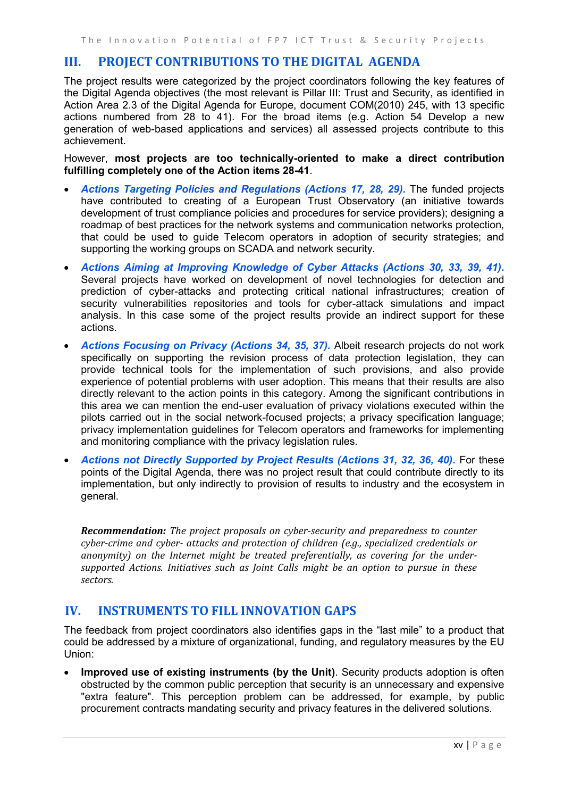## <span id="page-14-0"></span>**III. PROJECT CONTRIBUTIONS TO THE DIGITAL AGENDA**

The project results were categorized by the project coordinators following the key features of the Digital Agenda objectives (the most relevant is Pillar III: Trust and Security, as identified in Action Area 2.3 of the Digital Agenda for Europe, document COM(2010) 245, with 13 specific actions numbered from 28 to 41). For the broad items (e.g. Action 54 Develop a new generation of web-based applications and services) all assessed projects contribute to this achievement.

However, **most projects are too technically-oriented to make a direct contribution fulfilling completely one of the Action items 28-41**.

- *Actions Targeting Policies and Regulations (Actions 17, 28, 29).* The funded projects have contributed to creating of a European Trust Observatory (an initiative towards development of trust compliance policies and procedures for service providers); designing a roadmap of best practices for the network systems and communication networks protection, that could be used to guide Telecom operators in adoption of security strategies; and supporting the working groups on SCADA and network security.
- *Actions Aiming at Improving Knowledge of Cyber Attacks (Actions 30, 33, 39, 41).* Several projects have worked on development of novel technologies for detection and prediction of cyber-attacks and protecting critical national infrastructures; creation of security vulnerabilities repositories and tools for cyber-attack simulations and impact analysis. In this case some of the project results provide an indirect support for these actions.
- *Actions Focusing on Privacy (Actions 34, 35, 37).* Albeit research projects do not work specifically on supporting the revision process of data protection legislation, they can provide technical tools for the implementation of such provisions, and also provide experience of potential problems with user adoption. This means that their results are also directly relevant to the action points in this category. Among the significant contributions in this area we can mention the end-user evaluation of privacy violations executed within the pilots carried out in the social network-focused projects; a privacy specification language; privacy implementation guidelines for Telecom operators and frameworks for implementing and monitoring compliance with the privacy legislation rules.
- *Actions not Directly Supported by Project Results (Actions 31, 32, 36, 40).* For these points of the Digital Agenda, there was no project result that could contribute directly to its implementation, but only indirectly to provision of results to industry and the ecosystem in general.

*Recommendation: The project proposals on cyber-security and preparedness to counter cyber-crime and cyber- attacks and protection of children (e.g., specialized credentials or anonymity) on the Internet might be treated preferentially, as covering for the undersupported Actions. Initiatives such as Joint Calls might be an option to pursue in these sectors.*

## <span id="page-14-1"></span>**IV. INSTRUMENTS TO FILL INNOVATION GAPS**

The feedback from project coordinators also identifies gaps in the "last mile" to a product that could be addressed by a mixture of organizational, funding, and regulatory measures by the EU Union:

 **Improved use of existing instruments (by the Unit)**. Security products adoption is often obstructed by the common public perception that security is an unnecessary and expensive "extra feature". This perception problem can be addressed, for example, by public procurement contracts mandating security and privacy features in the delivered solutions.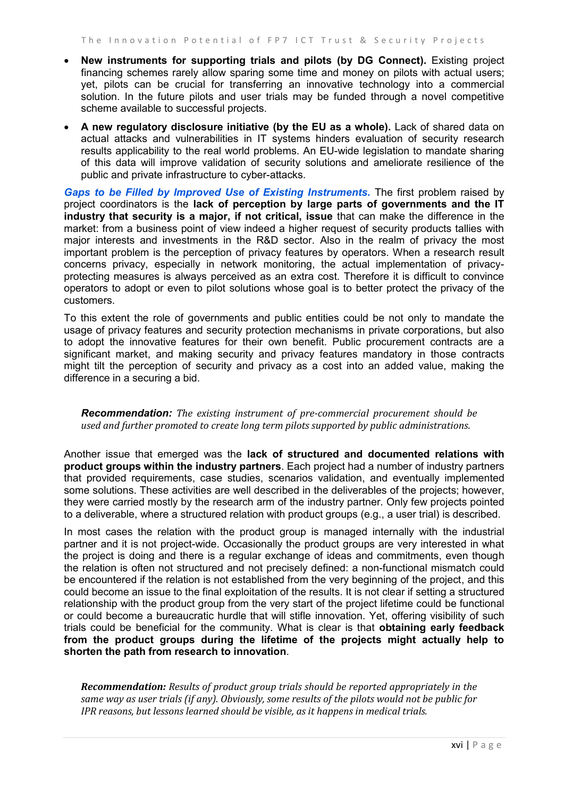- **New instruments for supporting trials and pilots (by DG Connect).** Existing project financing schemes rarely allow sparing some time and money on pilots with actual users; yet, pilots can be crucial for transferring an innovative technology into a commercial solution. In the future pilots and user trials may be funded through a novel competitive scheme available to successful projects.
- **A new regulatory disclosure initiative (by the EU as a whole).** Lack of shared data on actual attacks and vulnerabilities in IT systems hinders evaluation of security research results applicability to the real world problems. An EU-wide legislation to mandate sharing of this data will improve validation of security solutions and ameliorate resilience of the public and private infrastructure to cyber-attacks.

*Gaps to be Filled by Improved Use of Existing Instruments.* The first problem raised by project coordinators is the **lack of perception by large parts of governments and the IT industry that security is a major, if not critical, issue** that can make the difference in the market: from a business point of view indeed a higher request of security products tallies with major interests and investments in the R&D sector. Also in the realm of privacy the most important problem is the perception of privacy features by operators. When a research result concerns privacy, especially in network monitoring, the actual implementation of privacyprotecting measures is always perceived as an extra cost. Therefore it is difficult to convince operators to adopt or even to pilot solutions whose goal is to better protect the privacy of the customers.

To this extent the role of governments and public entities could be not only to mandate the usage of privacy features and security protection mechanisms in private corporations, but also to adopt the innovative features for their own benefit. Public procurement contracts are a significant market, and making security and privacy features mandatory in those contracts might tilt the perception of security and privacy as a cost into an added value, making the difference in a securing a bid.

*Recommendation: The existing instrument of pre-commercial procurement should be used and further promoted to create long term pilots supported by public administrations.*

Another issue that emerged was the **lack of structured and documented relations with product groups within the industry partners**. Each project had a number of industry partners that provided requirements, case studies, scenarios validation, and eventually implemented some solutions. These activities are well described in the deliverables of the projects; however, they were carried mostly by the research arm of the industry partner. Only few projects pointed to a deliverable, where a structured relation with product groups (e.g., a user trial) is described.

In most cases the relation with the product group is managed internally with the industrial partner and it is not project-wide. Occasionally the product groups are very interested in what the project is doing and there is a regular exchange of ideas and commitments, even though the relation is often not structured and not precisely defined: a non-functional mismatch could be encountered if the relation is not established from the very beginning of the project, and this could become an issue to the final exploitation of the results. It is not clear if setting a structured relationship with the product group from the very start of the project lifetime could be functional or could become a bureaucratic hurdle that will stifle innovation. Yet, offering visibility of such trials could be beneficial for the community. What is clear is that **obtaining early feedback from the product groups during the lifetime of the projects might actually help to shorten the path from research to innovation**.

*Recommendation: Results of product group trials should be reported appropriately in the same way as user trials (if any). Obviously, some results of the pilots would not be public for IPR reasons, but lessons learned should be visible, as it happens in medical trials.*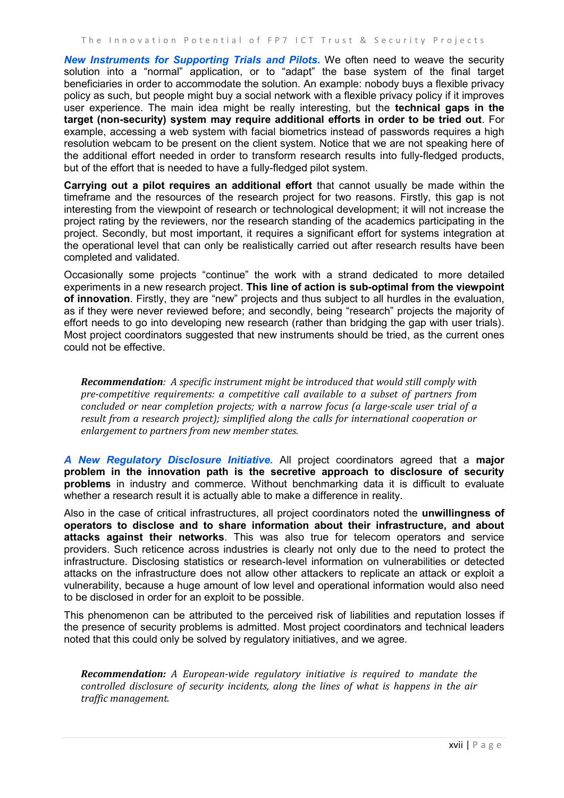*New Instruments for Supporting Trials and Pilots.* We often need to weave the security solution into a "normal" application, or to "adapt" the base system of the final target beneficiaries in order to accommodate the solution. An example: nobody buys a flexible privacy policy as such, but people might buy a social network with a flexible privacy policy if it improves user experience. The main idea might be really interesting, but the **technical gaps in the target (non-security) system may require additional efforts in order to be tried out**. For example, accessing a web system with facial biometrics instead of passwords requires a high resolution webcam to be present on the client system. Notice that we are not speaking here of the additional effort needed in order to transform research results into fully-fledged products, but of the effort that is needed to have a fully-fledged pilot system.

**Carrying out a pilot requires an additional effort** that cannot usually be made within the timeframe and the resources of the research project for two reasons. Firstly, this gap is not interesting from the viewpoint of research or technological development; it will not increase the project rating by the reviewers, nor the research standing of the academics participating in the project. Secondly, but most important, it requires a significant effort for systems integration at the operational level that can only be realistically carried out after research results have been completed and validated.

Occasionally some projects "continue" the work with a strand dedicated to more detailed experiments in a new research project. **This line of action is sub-optimal from the viewpoint of innovation**. Firstly, they are "new" projects and thus subject to all hurdles in the evaluation, as if they were never reviewed before; and secondly, being "research" projects the majority of effort needs to go into developing new research (rather than bridging the gap with user trials). Most project coordinators suggested that new instruments should be tried, as the current ones could not be effective.

*Recommendation: A specific instrument might be introduced that would still comply with pre-competitive requirements: a competitive call available to a subset of partners from concluded or near completion projects; with a narrow focus (a large-scale user trial of a result from a research project); simplified along the calls for international cooperation or enlargement to partners from new member states.*

*A New Regulatory Disclosure Initiative.* All project coordinators agreed that a **major problem in the innovation path is the secretive approach to disclosure of security problems** in industry and commerce. Without benchmarking data it is difficult to evaluate whether a research result it is actually able to make a difference in reality.

Also in the case of critical infrastructures, all project coordinators noted the **unwillingness of operators to disclose and to share information about their infrastructure, and about attacks against their networks**. This was also true for telecom operators and service providers. Such reticence across industries is clearly not only due to the need to protect the infrastructure. Disclosing statistics or research-level information on vulnerabilities or detected attacks on the infrastructure does not allow other attackers to replicate an attack or exploit a vulnerability, because a huge amount of low level and operational information would also need to be disclosed in order for an exploit to be possible.

This phenomenon can be attributed to the perceived risk of liabilities and reputation losses if the presence of security problems is admitted. Most project coordinators and technical leaders noted that this could only be solved by regulatory initiatives, and we agree.

*Recommendation: A European-wide regulatory initiative is required to mandate the controlled disclosure of security incidents, along the lines of what is happens in the air traffic management.*